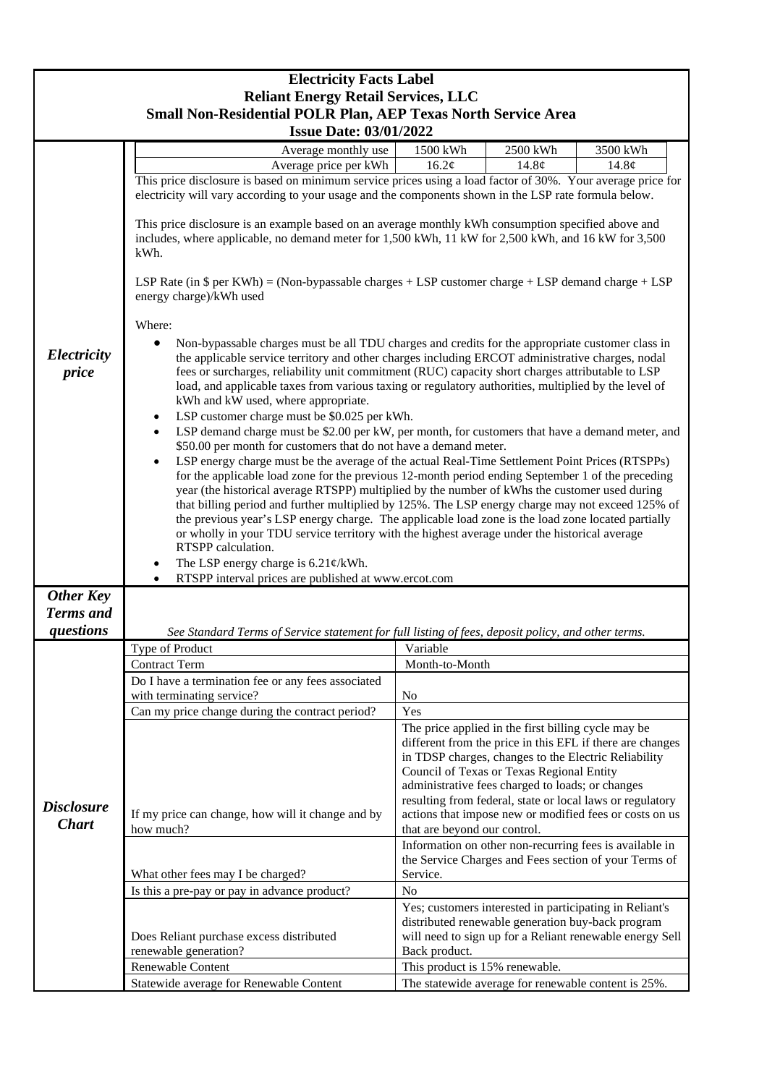|                                                                                                             | <b>Electricity Facts Label</b>                                                                                                                                                                                                                                                                                                                                                                                                                                                                                                                                                                                                                                                                                                                                                                                                                                                                                                                                                                                                                                                                                                                                                                                                                                                                                                                                                                                                                                                                                                                                                                                                                                                                                                                                                                                                                                                                                                                            |                                |                                                                                                                                                                                                                                                                                                                                                                                                   |          |  |
|-------------------------------------------------------------------------------------------------------------|-----------------------------------------------------------------------------------------------------------------------------------------------------------------------------------------------------------------------------------------------------------------------------------------------------------------------------------------------------------------------------------------------------------------------------------------------------------------------------------------------------------------------------------------------------------------------------------------------------------------------------------------------------------------------------------------------------------------------------------------------------------------------------------------------------------------------------------------------------------------------------------------------------------------------------------------------------------------------------------------------------------------------------------------------------------------------------------------------------------------------------------------------------------------------------------------------------------------------------------------------------------------------------------------------------------------------------------------------------------------------------------------------------------------------------------------------------------------------------------------------------------------------------------------------------------------------------------------------------------------------------------------------------------------------------------------------------------------------------------------------------------------------------------------------------------------------------------------------------------------------------------------------------------------------------------------------------------|--------------------------------|---------------------------------------------------------------------------------------------------------------------------------------------------------------------------------------------------------------------------------------------------------------------------------------------------------------------------------------------------------------------------------------------------|----------|--|
| <b>Reliant Energy Retail Services, LLC</b><br>Small Non-Residential POLR Plan, AEP Texas North Service Area |                                                                                                                                                                                                                                                                                                                                                                                                                                                                                                                                                                                                                                                                                                                                                                                                                                                                                                                                                                                                                                                                                                                                                                                                                                                                                                                                                                                                                                                                                                                                                                                                                                                                                                                                                                                                                                                                                                                                                           |                                |                                                                                                                                                                                                                                                                                                                                                                                                   |          |  |
|                                                                                                             | <b>Issue Date: 03/01/2022</b>                                                                                                                                                                                                                                                                                                                                                                                                                                                                                                                                                                                                                                                                                                                                                                                                                                                                                                                                                                                                                                                                                                                                                                                                                                                                                                                                                                                                                                                                                                                                                                                                                                                                                                                                                                                                                                                                                                                             |                                |                                                                                                                                                                                                                                                                                                                                                                                                   |          |  |
|                                                                                                             | Average monthly use                                                                                                                                                                                                                                                                                                                                                                                                                                                                                                                                                                                                                                                                                                                                                                                                                                                                                                                                                                                                                                                                                                                                                                                                                                                                                                                                                                                                                                                                                                                                                                                                                                                                                                                                                                                                                                                                                                                                       | 1500 kWh                       | 2500 kWh                                                                                                                                                                                                                                                                                                                                                                                          | 3500 kWh |  |
|                                                                                                             | Average price per kWh                                                                                                                                                                                                                                                                                                                                                                                                                                                                                                                                                                                                                                                                                                                                                                                                                                                                                                                                                                                                                                                                                                                                                                                                                                                                                                                                                                                                                                                                                                                                                                                                                                                                                                                                                                                                                                                                                                                                     | 16.2¢                          | 14.8¢                                                                                                                                                                                                                                                                                                                                                                                             | 14.8¢    |  |
| Electricity<br>price                                                                                        | This price disclosure is based on minimum service prices using a load factor of 30%. Your average price for<br>electricity will vary according to your usage and the components shown in the LSP rate formula below.<br>This price disclosure is an example based on an average monthly kWh consumption specified above and<br>includes, where applicable, no demand meter for 1,500 kWh, 11 kW for 2,500 kWh, and 16 kW for 3,500<br>kWh.<br>LSP Rate (in $\$$ per KWh) = (Non-bypassable charges + LSP customer charge + LSP demand charge + LSP<br>energy charge)/kWh used<br>Where:<br>Non-bypassable charges must be all TDU charges and credits for the appropriate customer class in<br>the applicable service territory and other charges including ERCOT administrative charges, nodal<br>fees or surcharges, reliability unit commitment (RUC) capacity short charges attributable to LSP<br>load, and applicable taxes from various taxing or regulatory authorities, multiplied by the level of<br>kWh and kW used, where appropriate.<br>LSP customer charge must be \$0.025 per kWh.<br>$\bullet$<br>LSP demand charge must be \$2.00 per kW, per month, for customers that have a demand meter, and<br>$\bullet$<br>\$50.00 per month for customers that do not have a demand meter.<br>LSP energy charge must be the average of the actual Real-Time Settlement Point Prices (RTSPPs)<br>$\bullet$<br>for the applicable load zone for the previous 12-month period ending September 1 of the preceding<br>year (the historical average RTSPP) multiplied by the number of kWhs the customer used during<br>that billing period and further multiplied by 125%. The LSP energy charge may not exceed 125% of<br>the previous year's LSP energy charge. The applicable load zone is the load zone located partially<br>or wholly in your TDU service territory with the highest average under the historical average<br>RTSPP calculation. |                                |                                                                                                                                                                                                                                                                                                                                                                                                   |          |  |
|                                                                                                             | The LSP energy charge is $6.21 \frac{\varphi}{kWh}$ .<br>RTSPP interval prices are published at www.ercot.com                                                                                                                                                                                                                                                                                                                                                                                                                                                                                                                                                                                                                                                                                                                                                                                                                                                                                                                                                                                                                                                                                                                                                                                                                                                                                                                                                                                                                                                                                                                                                                                                                                                                                                                                                                                                                                             |                                |                                                                                                                                                                                                                                                                                                                                                                                                   |          |  |
| <b>Other Key</b>                                                                                            |                                                                                                                                                                                                                                                                                                                                                                                                                                                                                                                                                                                                                                                                                                                                                                                                                                                                                                                                                                                                                                                                                                                                                                                                                                                                                                                                                                                                                                                                                                                                                                                                                                                                                                                                                                                                                                                                                                                                                           |                                |                                                                                                                                                                                                                                                                                                                                                                                                   |          |  |
| <b>Terms</b> and                                                                                            |                                                                                                                                                                                                                                                                                                                                                                                                                                                                                                                                                                                                                                                                                                                                                                                                                                                                                                                                                                                                                                                                                                                                                                                                                                                                                                                                                                                                                                                                                                                                                                                                                                                                                                                                                                                                                                                                                                                                                           |                                |                                                                                                                                                                                                                                                                                                                                                                                                   |          |  |
| questions                                                                                                   | See Standard Terms of Service statement for full listing of fees, deposit policy, and other terms.                                                                                                                                                                                                                                                                                                                                                                                                                                                                                                                                                                                                                                                                                                                                                                                                                                                                                                                                                                                                                                                                                                                                                                                                                                                                                                                                                                                                                                                                                                                                                                                                                                                                                                                                                                                                                                                        |                                |                                                                                                                                                                                                                                                                                                                                                                                                   |          |  |
|                                                                                                             | Type of Product                                                                                                                                                                                                                                                                                                                                                                                                                                                                                                                                                                                                                                                                                                                                                                                                                                                                                                                                                                                                                                                                                                                                                                                                                                                                                                                                                                                                                                                                                                                                                                                                                                                                                                                                                                                                                                                                                                                                           | Variable                       |                                                                                                                                                                                                                                                                                                                                                                                                   |          |  |
|                                                                                                             | <b>Contract Term</b>                                                                                                                                                                                                                                                                                                                                                                                                                                                                                                                                                                                                                                                                                                                                                                                                                                                                                                                                                                                                                                                                                                                                                                                                                                                                                                                                                                                                                                                                                                                                                                                                                                                                                                                                                                                                                                                                                                                                      | Month-to-Month                 |                                                                                                                                                                                                                                                                                                                                                                                                   |          |  |
|                                                                                                             | Do I have a termination fee or any fees associated                                                                                                                                                                                                                                                                                                                                                                                                                                                                                                                                                                                                                                                                                                                                                                                                                                                                                                                                                                                                                                                                                                                                                                                                                                                                                                                                                                                                                                                                                                                                                                                                                                                                                                                                                                                                                                                                                                        |                                |                                                                                                                                                                                                                                                                                                                                                                                                   |          |  |
| <b>Disclosure</b><br><b>Chart</b>                                                                           | with terminating service?                                                                                                                                                                                                                                                                                                                                                                                                                                                                                                                                                                                                                                                                                                                                                                                                                                                                                                                                                                                                                                                                                                                                                                                                                                                                                                                                                                                                                                                                                                                                                                                                                                                                                                                                                                                                                                                                                                                                 | N <sub>0</sub><br>Yes          |                                                                                                                                                                                                                                                                                                                                                                                                   |          |  |
|                                                                                                             | Can my price change during the contract period?<br>If my price can change, how will it change and by<br>how much?                                                                                                                                                                                                                                                                                                                                                                                                                                                                                                                                                                                                                                                                                                                                                                                                                                                                                                                                                                                                                                                                                                                                                                                                                                                                                                                                                                                                                                                                                                                                                                                                                                                                                                                                                                                                                                         | that are beyond our control.   | The price applied in the first billing cycle may be<br>different from the price in this EFL if there are changes<br>in TDSP charges, changes to the Electric Reliability<br>Council of Texas or Texas Regional Entity<br>administrative fees charged to loads; or changes<br>resulting from federal, state or local laws or regulatory<br>actions that impose new or modified fees or costs on us |          |  |
|                                                                                                             | What other fees may I be charged?                                                                                                                                                                                                                                                                                                                                                                                                                                                                                                                                                                                                                                                                                                                                                                                                                                                                                                                                                                                                                                                                                                                                                                                                                                                                                                                                                                                                                                                                                                                                                                                                                                                                                                                                                                                                                                                                                                                         | Service.                       | Information on other non-recurring fees is available in<br>the Service Charges and Fees section of your Terms of                                                                                                                                                                                                                                                                                  |          |  |
|                                                                                                             | Is this a pre-pay or pay in advance product?                                                                                                                                                                                                                                                                                                                                                                                                                                                                                                                                                                                                                                                                                                                                                                                                                                                                                                                                                                                                                                                                                                                                                                                                                                                                                                                                                                                                                                                                                                                                                                                                                                                                                                                                                                                                                                                                                                              | N <sub>0</sub>                 |                                                                                                                                                                                                                                                                                                                                                                                                   |          |  |
|                                                                                                             | Does Reliant purchase excess distributed<br>renewable generation?                                                                                                                                                                                                                                                                                                                                                                                                                                                                                                                                                                                                                                                                                                                                                                                                                                                                                                                                                                                                                                                                                                                                                                                                                                                                                                                                                                                                                                                                                                                                                                                                                                                                                                                                                                                                                                                                                         | Back product.                  | Yes; customers interested in participating in Reliant's<br>distributed renewable generation buy-back program<br>will need to sign up for a Reliant renewable energy Sell                                                                                                                                                                                                                          |          |  |
|                                                                                                             | Renewable Content                                                                                                                                                                                                                                                                                                                                                                                                                                                                                                                                                                                                                                                                                                                                                                                                                                                                                                                                                                                                                                                                                                                                                                                                                                                                                                                                                                                                                                                                                                                                                                                                                                                                                                                                                                                                                                                                                                                                         | This product is 15% renewable. |                                                                                                                                                                                                                                                                                                                                                                                                   |          |  |
|                                                                                                             | Statewide average for Renewable Content                                                                                                                                                                                                                                                                                                                                                                                                                                                                                                                                                                                                                                                                                                                                                                                                                                                                                                                                                                                                                                                                                                                                                                                                                                                                                                                                                                                                                                                                                                                                                                                                                                                                                                                                                                                                                                                                                                                   |                                | The statewide average for renewable content is 25%.                                                                                                                                                                                                                                                                                                                                               |          |  |